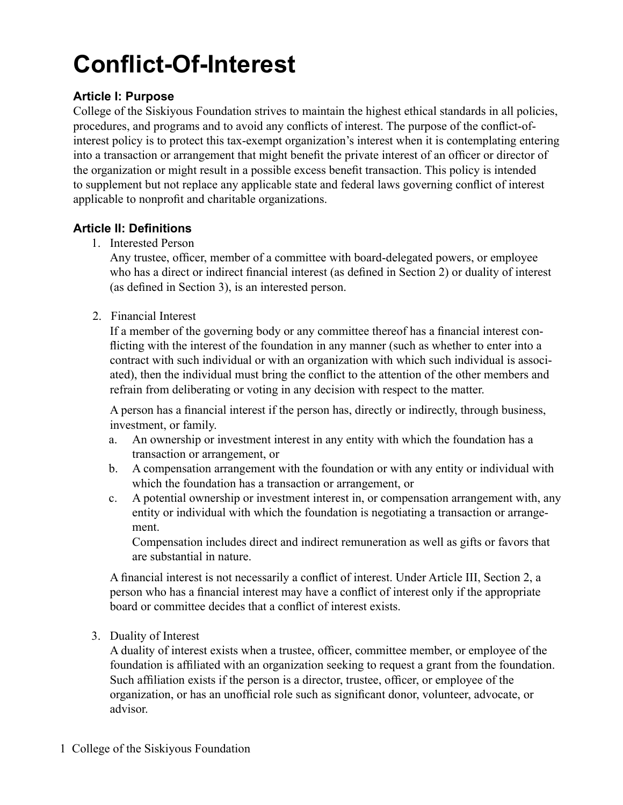# **Conflict-Of-Interest**

# **Article I: Purpose**

College of the Siskiyous Foundation strives to maintain the highest ethical standards in all policies, procedures, and programs and to avoid any conflicts of interest. The purpose of the conflict-ofinterest policy is to protect this tax-exempt organization's interest when it is contemplating entering into a transaction or arrangement that might benefit the private interest of an officer or director of the organization or might result in a possible excess benefit transaction. This policy is intended to supplement but not replace any applicable state and federal laws governing conflict of interest applicable to nonprofit and charitable organizations.

# **Article II: Definitions**

1. Interested Person

Any trustee, officer, member of a committee with board-delegated powers, or employee who has a direct or indirect financial interest (as defined in Section 2) or duality of interest (as defined in Section 3), is an interested person.

2. Financial Interest

If a member of the governing body or any committee thereof has a financial interest conflicting with the interest of the foundation in any manner (such as whether to enter into a contract with such individual or with an organization with which such individual is associated), then the individual must bring the conflict to the attention of the other members and refrain from deliberating or voting in any decision with respect to the matter.

A person has a financial interest if the person has, directly or indirectly, through business, investment, or family.

- a. An ownership or investment interest in any entity with which the foundation has a transaction or arrangement, or
- b. A compensation arrangement with the foundation or with any entity or individual with which the foundation has a transaction or arrangement, or
- c. A potential ownership or investment interest in, or compensation arrangement with, any entity or individual with which the foundation is negotiating a transaction or arrangement.

Compensation includes direct and indirect remuneration as well as gifts or favors that are substantial in nature.

A financial interest is not necessarily a conflict of interest. Under Article III, Section 2, a person who has a financial interest may have a conflict of interest only if the appropriate board or committee decides that a conflict of interest exists.

3. Duality of Interest

A duality of interest exists when a trustee, officer, committee member, or employee of the foundation is affiliated with an organization seeking to request a grant from the foundation. Such affiliation exists if the person is a director, trustee, officer, or employee of the organization, or has an unofficial role such as significant donor, volunteer, advocate, or advisor.

1 College of the Siskiyous Foundation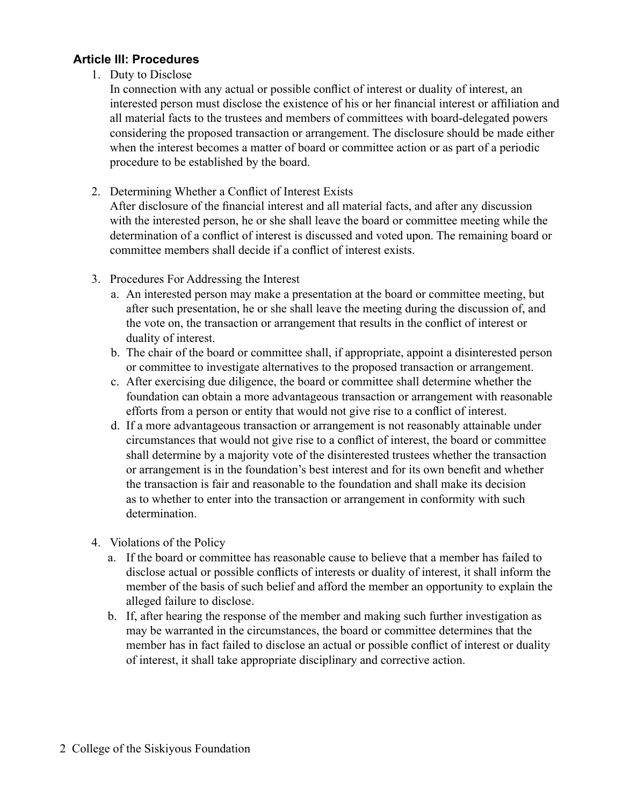#### **Article III: Procedures**

1. Duty to Disclose

In connection with any actual or possible conflict of interest or duality of interest, an interested person must disclose the existence of his or her financial interest or affiliation and all material facts to the trustees and members of committees with board-delegated powers considering the proposed transaction or arrangement. The disclosure should be made either when the interest becomes a matter of board or committee action or as part of a periodic procedure to be established by the board.

2. Determining Whether a Conflict of Interest Exists

After disclosure of the financial interest and all material facts, and after any discussion with the interested person, he or she shall leave the board or committee meeting while the determination of a conflict of interest is discussed and voted upon. The remaining board or committee members shall decide if a conflict of interest exists.

- 3. Procedures For Addressing the Interest
	- a. An interested person may make a presentation at the board or committee meeting, but after such presentation, he or she shall leave the meeting during the discussion of, and the vote on, the transaction or arrangement that results in the conflict of interest or duality of interest.
	- b. The chair of the board or committee shall, if appropriate, appoint a disinterested person or committee to investigate alternatives to the proposed transaction or arrangement.
	- c. After exercising due diligence, the board or committee shall determine whether the foundation can obtain a more advantageous transaction or arrangement with reasonable efforts from a person or entity that would not give rise to a conflict of interest.
	- d. If a more advantageous transaction or arrangement is not reasonably attainable under circumstances that would not give rise to a conflict of interest, the board or committee shall determine by a majority vote of the disinterested trustees whether the transaction or arrangement is in the foundation's best interest and for its own benefit and whether the transaction is fair and reasonable to the foundation and shall make its decision as to whether to enter into the transaction or arrangement in conformity with such determination.
- 4. Violations of the Policy
	- a. If the board or committee has reasonable cause to believe that a member has failed to disclose actual or possible conflicts of interests or duality of interest, it shall inform the member of the basis of such belief and afford the member an opportunity to explain the alleged failure to disclose.
	- b. If, after hearing the response of the member and making such further investigation as may be warranted in the circumstances, the board or committee determines that the member has in fact failed to disclose an actual or possible conflict of interest or duality of interest, it shall take appropriate disciplinary and corrective action.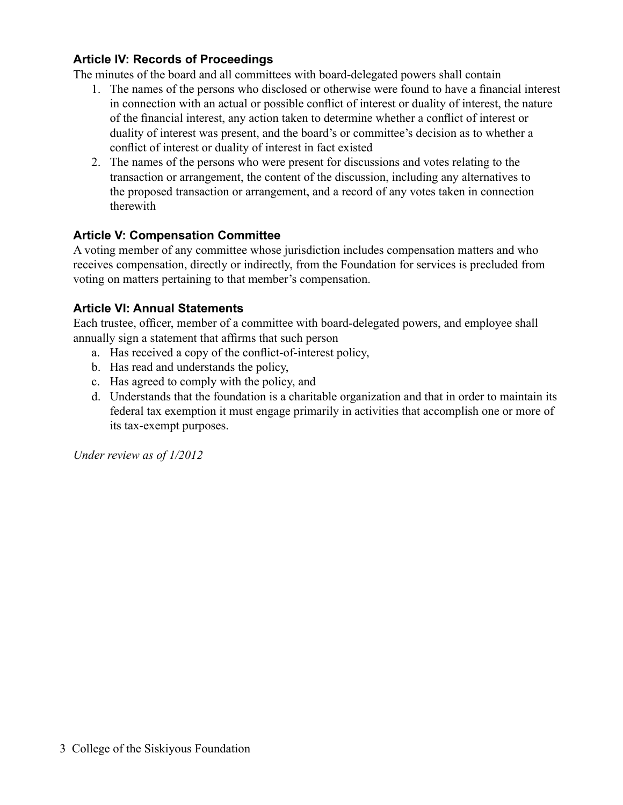## **Article IV: Records of Proceedings**

The minutes of the board and all committees with board-delegated powers shall contain

- 1. The names of the persons who disclosed or otherwise were found to have a financial interest in connection with an actual or possible conflict of interest or duality of interest, the nature of the financial interest, any action taken to determine whether a conflict of interest or duality of interest was present, and the board's or committee's decision as to whether a conflict of interest or duality of interest in fact existed
- 2. The names of the persons who were present for discussions and votes relating to the transaction or arrangement, the content of the discussion, including any alternatives to the proposed transaction or arrangement, and a record of any votes taken in connection therewith

# **Article V: Compensation Committee**

A voting member of any committee whose jurisdiction includes compensation matters and who receives compensation, directly or indirectly, from the Foundation for services is precluded from voting on matters pertaining to that member's compensation.

# **Article VI: Annual Statements**

Each trustee, officer, member of a committee with board-delegated powers, and employee shall annually sign a statement that affirms that such person

- a. Has received a copy of the conflict-of-interest policy,
- b. Has read and understands the policy,
- c. Has agreed to comply with the policy, and
- d. Understands that the foundation is a charitable organization and that in order to maintain its federal tax exemption it must engage primarily in activities that accomplish one or more of its tax-exempt purposes.

*Under review as of 1/2012*